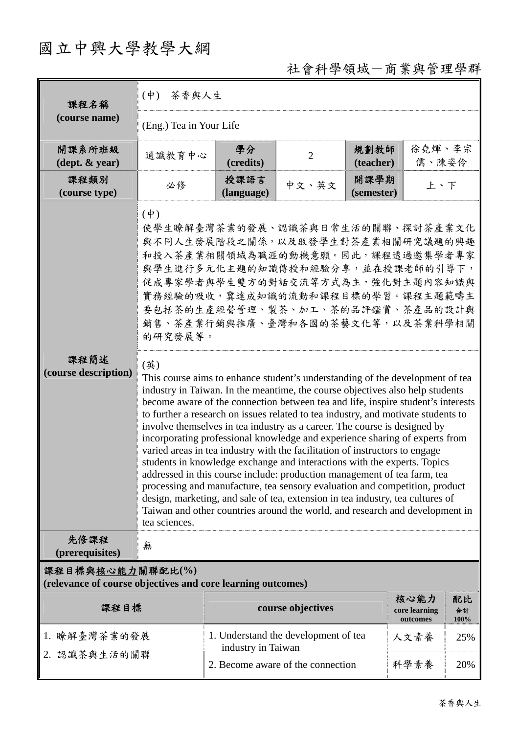# 國立中興大學教學大綱

# 社會科學領域-商業與管理學群

| 課程名稱                                                                            | 茶香與人生<br>$(\phi)$                                                                                                                                                                                                                                                                                                                                                                                                                                                                                                                                                                                                                                                                                                                                                                                                                                                                                                                                                                                                                                                                                                                                                                                                                                                                                                                             |                    |                                      |                    |                                   |                  |  |
|---------------------------------------------------------------------------------|-----------------------------------------------------------------------------------------------------------------------------------------------------------------------------------------------------------------------------------------------------------------------------------------------------------------------------------------------------------------------------------------------------------------------------------------------------------------------------------------------------------------------------------------------------------------------------------------------------------------------------------------------------------------------------------------------------------------------------------------------------------------------------------------------------------------------------------------------------------------------------------------------------------------------------------------------------------------------------------------------------------------------------------------------------------------------------------------------------------------------------------------------------------------------------------------------------------------------------------------------------------------------------------------------------------------------------------------------|--------------------|--------------------------------------|--------------------|-----------------------------------|------------------|--|
| (course name)                                                                   | (Eng.) Tea in Your Life                                                                                                                                                                                                                                                                                                                                                                                                                                                                                                                                                                                                                                                                                                                                                                                                                                                                                                                                                                                                                                                                                                                                                                                                                                                                                                                       |                    |                                      |                    |                                   |                  |  |
| 開課系所班級<br>$(\text{dept.} \& \text{ year})$                                      | 通識教育中心                                                                                                                                                                                                                                                                                                                                                                                                                                                                                                                                                                                                                                                                                                                                                                                                                                                                                                                                                                                                                                                                                                                                                                                                                                                                                                                                        | 學分<br>(credits)    | $\overline{2}$                       | 規劃教師<br>(teacher)  | 徐堯煇、李宗<br>儒、陳姿伶                   |                  |  |
| 課程類別<br>(course type)                                                           | 必修                                                                                                                                                                                                                                                                                                                                                                                                                                                                                                                                                                                                                                                                                                                                                                                                                                                                                                                                                                                                                                                                                                                                                                                                                                                                                                                                            | 授課語言<br>(language) | 中文、英文                                | 開課學期<br>(semester) | 上、下                               |                  |  |
| 課程簡述<br>(course description)                                                    | $(\dagger)$<br>使學生瞭解臺灣茶業的發展、認識茶與日常生活的關聯、探討茶產業文化<br>與不同人生發展階段之關係,以及啟發學生對茶產業相關研究議題的興趣<br>和投入茶產業相關領域為職涯的動機意願。因此,課程透過邀集學者專家<br>與學生進行多元化主題的知識傳授和經驗分享,並在授課老師的引導下,<br>促成專家學者與學生雙方的對話交流等方式為主,強化對主題內容知識與<br>實務經驗的吸收,冀達成知識的流動和課程目標的學習。課程主題範疇主<br>要包括茶的生產經營管理、製茶、加工、茶的品評鑑賞、茶產品的設計與<br>銷售、茶產業行銷與推廣、臺灣和各國的茶藝文化等,以及茶業科學相關<br>的研究發展等。<br>(英)<br>This course aims to enhance student's understanding of the development of tea<br>industry in Taiwan. In the meantime, the course objectives also help students<br>become aware of the connection between tea and life, inspire student's interests<br>to further a research on issues related to tea industry, and motivate students to<br>involve themselves in tea industry as a career. The course is designed by<br>incorporating professional knowledge and experience sharing of experts from<br>varied areas in tea industry with the facilitation of instructors to engage<br>students in knowledge exchange and interactions with the experts. Topics<br>addressed in this course include: production management of tea farm, tea<br>processing and manufacture, tea sensory evaluation and competition, product<br>design, marketing, and sale of tea, extension in tea industry, tea cultures of<br>Taiwan and other countries around the world, and research and development in<br>tea sciences. |                    |                                      |                    |                                   |                  |  |
| 先修課程<br>(prerequisites)                                                         | 無                                                                                                                                                                                                                                                                                                                                                                                                                                                                                                                                                                                                                                                                                                                                                                                                                                                                                                                                                                                                                                                                                                                                                                                                                                                                                                                                             |                    |                                      |                    |                                   |                  |  |
| 課程目標與核心能力關聯配比(%)<br>(relevance of course objectives and core learning outcomes) |                                                                                                                                                                                                                                                                                                                                                                                                                                                                                                                                                                                                                                                                                                                                                                                                                                                                                                                                                                                                                                                                                                                                                                                                                                                                                                                                               |                    |                                      |                    |                                   |                  |  |
| 課程目標                                                                            |                                                                                                                                                                                                                                                                                                                                                                                                                                                                                                                                                                                                                                                                                                                                                                                                                                                                                                                                                                                                                                                                                                                                                                                                                                                                                                                                               |                    | course objectives                    |                    | 核心能力<br>core learning<br>outcomes | 配比<br>合計<br>100% |  |
| 1. 瞭解臺灣茶業的發展                                                                    |                                                                                                                                                                                                                                                                                                                                                                                                                                                                                                                                                                                                                                                                                                                                                                                                                                                                                                                                                                                                                                                                                                                                                                                                                                                                                                                                               | industry in Taiwan | 1. Understand the development of tea |                    | 人文素養                              | 25%              |  |
| 2. 認識茶與生活的關聯                                                                    |                                                                                                                                                                                                                                                                                                                                                                                                                                                                                                                                                                                                                                                                                                                                                                                                                                                                                                                                                                                                                                                                                                                                                                                                                                                                                                                                               |                    | 2. Become aware of the connection    |                    | 科學素養                              | 20%              |  |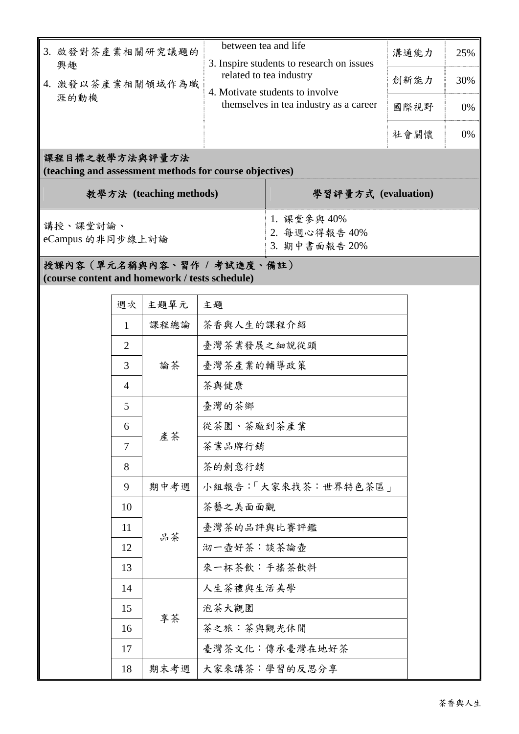| 3. 啟發對茶產業相關研究議題的<br>興趣 | between tea and life<br>溝通能力<br>3. Inspire students to research on issues<br>related to tea industry<br>創新能力<br>4. Motivate students to involve | 25%  |     |
|------------------------|-------------------------------------------------------------------------------------------------------------------------------------------------|------|-----|
| 4. 激發以茶產業相關領域作為職       |                                                                                                                                                 |      | 30% |
| 涯的動機                   | themselves in tea industry as a career                                                                                                          | 國際視野 | 0%  |
|                        |                                                                                                                                                 | 社會關懷 | 0%  |

#### 課程目標之教學方法與評量方法

**(teaching and assessment methods for course objectives)** 

| 教學方法 (teaching methods)      | 學習評量方式 (evaluation)                           |
|------------------------------|-----------------------------------------------|
| 講授、課堂討論、<br>eCampus 的非同步線上討論 | 1. 課堂參與 40%<br>2. 每週心得報告 40%<br>3. 期中書面報告 20% |

## 授課內容(單元名稱與內容、習作 **/** 考試進度、備註) **(course content and homework / tests schedule)**

| 週次             | 主題單元 | 主題                  |  |
|----------------|------|---------------------|--|
| 1              | 課程總論 | 茶香與人生的課程介紹          |  |
| $\overline{2}$ |      | 臺灣茶業發展之細說從頭         |  |
| 3              | 論茶   | 臺灣茶產業的輔導政策          |  |
| $\overline{4}$ |      | 茶與健康                |  |
| 5              | 產茶   | 臺灣的茶鄉               |  |
| 6              |      | 從茶園、茶廠到茶產業          |  |
| 7              |      | 茶業品牌行銷              |  |
| 8              |      | 茶的創意行銷              |  |
| 9              | 期中考週 | 小組報告:「大家來找茶:世界特色茶區」 |  |
| 10             |      | 茶藝之美面面觀             |  |
| 11             | 品茶   | 臺灣茶的品評與比賽評鑑         |  |
| 12             |      | 沏一壺好茶:談茶論壺          |  |
| 13             |      | 來一杯茶飲:手搖茶飲料         |  |
| 14             | 享茶   | 人生茶禮與生活美學           |  |
| 15             |      | 泡茶大觀園               |  |
| 16             |      | 茶之旅:茶與觀光休閒          |  |
| 17             |      | 臺灣茶文化:傳承臺灣在地好茶      |  |
| 18             | 期末考週 | 大家來講茶:學習的反思分享       |  |